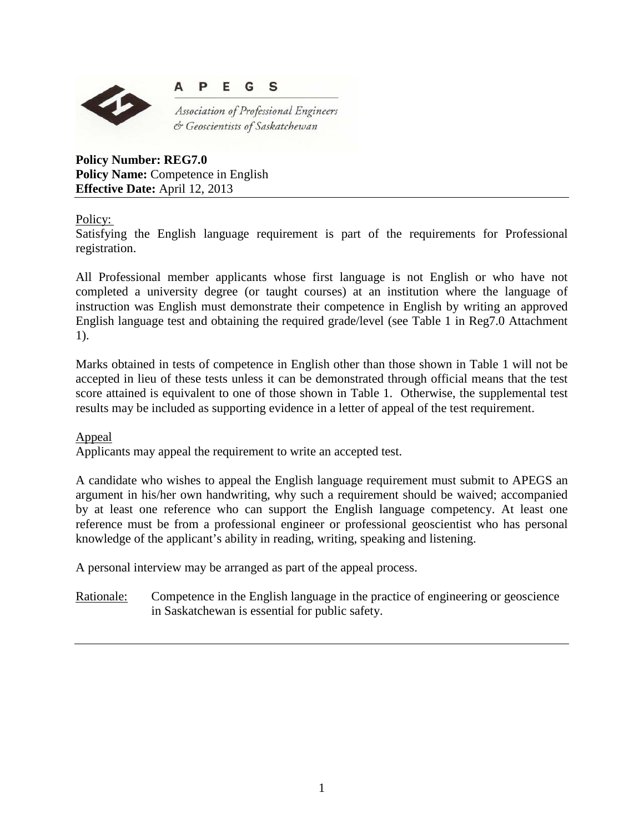



Association of Professional Engineers & Geoscientists of Saskatchewan

**Policy Number: REG7.0 Policy Name:** Competence in English **Effective Date:** April 12, 2013

Policy:

Satisfying the English language requirement is part of the requirements for Professional registration.

All Professional member applicants whose first language is not English or who have not completed a university degree (or taught courses) at an institution where the language of instruction was English must demonstrate their competence in English by writing an approved English language test and obtaining the required grade/level (see Table 1 in Reg7.0 Attachment 1).

Marks obtained in tests of competence in English other than those shown in Table 1 will not be accepted in lieu of these tests unless it can be demonstrated through official means that the test score attained is equivalent to one of those shown in Table 1. Otherwise, the supplemental test results may be included as supporting evidence in a letter of appeal of the test requirement.

## Appeal

Applicants may appeal the requirement to write an accepted test.

A candidate who wishes to appeal the English language requirement must submit to APEGS an argument in his/her own handwriting, why such a requirement should be waived; accompanied by at least one reference who can support the English language competency. At least one reference must be from a professional engineer or professional geoscientist who has personal knowledge of the applicant's ability in reading, writing, speaking and listening.

A personal interview may be arranged as part of the appeal process.

Rationale: Competence in the English language in the practice of engineering or geoscience in Saskatchewan is essential for public safety.